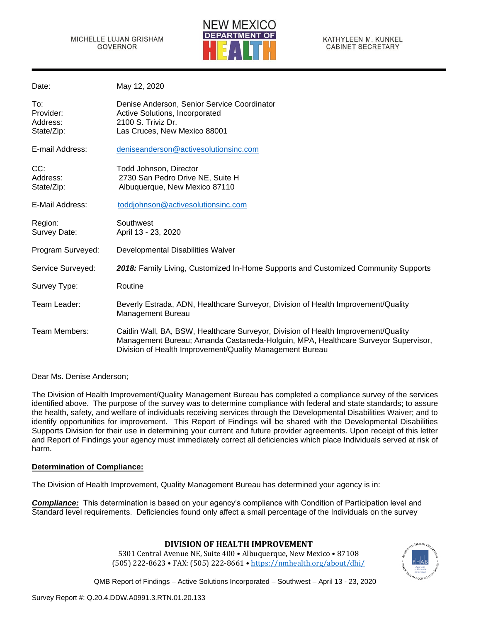

| May 12, 2020                                                                                                                                                                                                                        |
|-------------------------------------------------------------------------------------------------------------------------------------------------------------------------------------------------------------------------------------|
| Denise Anderson, Senior Service Coordinator<br>Active Solutions, Incorporated<br>2100 S. Triviz Dr.<br>Las Cruces, New Mexico 88001                                                                                                 |
| deniseanderson@activesolutionsinc.com                                                                                                                                                                                               |
| Todd Johnson, Director<br>2730 San Pedro Drive NE, Suite H<br>Albuquerque, New Mexico 87110                                                                                                                                         |
| toddjohnson@activesolutionsinc.com                                                                                                                                                                                                  |
| Southwest<br>April 13 - 23, 2020                                                                                                                                                                                                    |
| Developmental Disabilities Waiver                                                                                                                                                                                                   |
| 2018: Family Living, Customized In-Home Supports and Customized Community Supports                                                                                                                                                  |
| Routine                                                                                                                                                                                                                             |
| Beverly Estrada, ADN, Healthcare Surveyor, Division of Health Improvement/Quality<br>Management Bureau                                                                                                                              |
| Caitlin Wall, BA, BSW, Healthcare Surveyor, Division of Health Improvement/Quality<br>Management Bureau; Amanda Castaneda-Holguin, MPA, Healthcare Surveyor Supervisor,<br>Division of Health Improvement/Quality Management Bureau |
|                                                                                                                                                                                                                                     |

Dear Ms. Denise Anderson;

The Division of Health Improvement/Quality Management Bureau has completed a compliance survey of the services identified above. The purpose of the survey was to determine compliance with federal and state standards; to assure the health, safety, and welfare of individuals receiving services through the Developmental Disabilities Waiver; and to identify opportunities for improvement. This Report of Findings will be shared with the Developmental Disabilities Supports Division for their use in determining your current and future provider agreements. Upon receipt of this letter and Report of Findings your agency must immediately correct all deficiencies which place Individuals served at risk of harm.

#### **Determination of Compliance:**

The Division of Health Improvement, Quality Management Bureau has determined your agency is in:

*Compliance:* This determination is based on your agency's compliance with Condition of Participation level and Standard level requirements. Deficiencies found only affect a small percentage of the Individuals on the survey

# **DIVISION OF HEALTH IMPROVEMENT**

5301 Central Avenue NE, Suite 400 • Albuquerque, New Mexico • 87108 (505) 222-8623 • FAX: (505) 222-8661 • <https://nmhealth.org/about/dhi/>

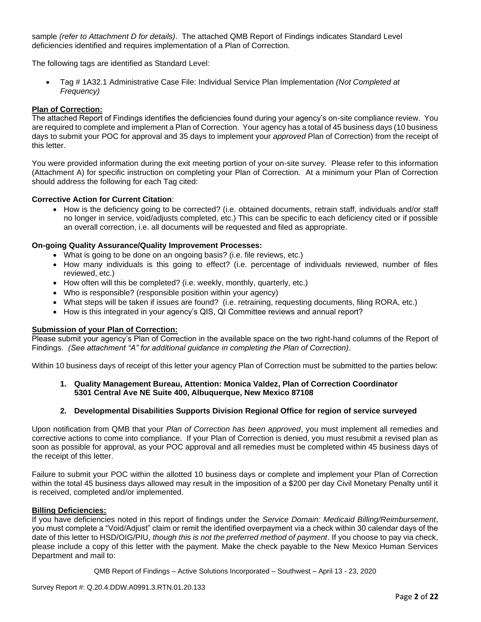sample *(refer to Attachment D for details)*. The attached QMB Report of Findings indicates Standard Level deficiencies identified and requires implementation of a Plan of Correction.

The following tags are identified as Standard Level:

• Tag # 1A32.1 Administrative Case File: Individual Service Plan Implementation *(Not Completed at Frequency)*

#### **Plan of Correction:**

The attached Report of Findings identifies the deficiencies found during your agency's on-site compliance review. You are required to complete and implement a Plan of Correction. Your agency has a total of 45 business days (10 business days to submit your POC for approval and 35 days to implement your *approved* Plan of Correction) from the receipt of this letter.

You were provided information during the exit meeting portion of your on-site survey. Please refer to this information (Attachment A) for specific instruction on completing your Plan of Correction. At a minimum your Plan of Correction should address the following for each Tag cited:

## **Corrective Action for Current Citation**:

• How is the deficiency going to be corrected? (i.e. obtained documents, retrain staff, individuals and/or staff no longer in service, void/adjusts completed, etc.) This can be specific to each deficiency cited or if possible an overall correction, i.e. all documents will be requested and filed as appropriate.

## **On-going Quality Assurance/Quality Improvement Processes:**

- What is going to be done on an ongoing basis? (i.e. file reviews, etc.)
- How many individuals is this going to effect? (i.e. percentage of individuals reviewed, number of files reviewed, etc.)
- How often will this be completed? (i.e. weekly, monthly, quarterly, etc.)
- Who is responsible? (responsible position within your agency)
- What steps will be taken if issues are found? (i.e. retraining, requesting documents, filing RORA, etc.)
- How is this integrated in your agency's QIS, QI Committee reviews and annual report?

#### **Submission of your Plan of Correction:**

Please submit your agency's Plan of Correction in the available space on the two right-hand columns of the Report of Findings. *(See attachment "A" for additional guidance in completing the Plan of Correction)*.

Within 10 business days of receipt of this letter your agency Plan of Correction must be submitted to the parties below:

## **1. Quality Management Bureau, Attention: Monica Valdez, Plan of Correction Coordinator 5301 Central Ave NE Suite 400, Albuquerque, New Mexico 87108**

#### **2. Developmental Disabilities Supports Division Regional Office for region of service surveyed**

Upon notification from QMB that your *Plan of Correction has been approved*, you must implement all remedies and corrective actions to come into compliance. If your Plan of Correction is denied, you must resubmit a revised plan as soon as possible for approval, as your POC approval and all remedies must be completed within 45 business days of the receipt of this letter.

Failure to submit your POC within the allotted 10 business days or complete and implement your Plan of Correction within the total 45 business days allowed may result in the imposition of a \$200 per day Civil Monetary Penalty until it is received, completed and/or implemented.

#### **Billing Deficiencies:**

If you have deficiencies noted in this report of findings under the *Service Domain: Medicaid Billing/Reimbursement*, you must complete a "Void/Adjust" claim or remit the identified overpayment via a check within 30 calendar days of the date of this letter to HSD/OIG/PIU, *though this is not the preferred method of payment*. If you choose to pay via check, please include a copy of this letter with the payment. Make the check payable to the New Mexico Human Services Department and mail to: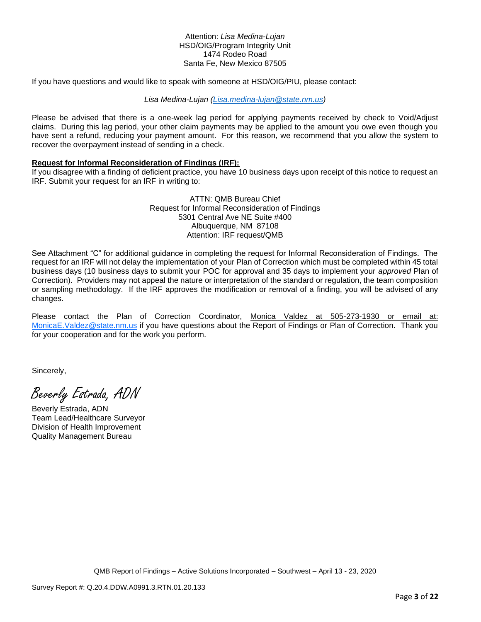#### Attention: *Lisa Medina-Lujan* HSD/OIG/Program Integrity Unit 1474 Rodeo Road Santa Fe, New Mexico 87505

If you have questions and would like to speak with someone at HSD/OIG/PIU, please contact:

*Lisa Medina-Lujan [\(Lisa.medina-lujan@state.nm.us\)](mailto:Lisa.medina-lujan@state.nm.us)*

Please be advised that there is a one-week lag period for applying payments received by check to Void/Adjust claims. During this lag period, your other claim payments may be applied to the amount you owe even though you have sent a refund, reducing your payment amount. For this reason, we recommend that you allow the system to recover the overpayment instead of sending in a check.

#### **Request for Informal Reconsideration of Findings (IRF):**

If you disagree with a finding of deficient practice, you have 10 business days upon receipt of this notice to request an IRF. Submit your request for an IRF in writing to:

> ATTN: QMB Bureau Chief Request for Informal Reconsideration of Findings 5301 Central Ave NE Suite #400 Albuquerque, NM 87108 Attention: IRF request/QMB

See Attachment "C" for additional guidance in completing the request for Informal Reconsideration of Findings. The request for an IRF will not delay the implementation of your Plan of Correction which must be completed within 45 total business days (10 business days to submit your POC for approval and 35 days to implement your *approved* Plan of Correction). Providers may not appeal the nature or interpretation of the standard or regulation, the team composition or sampling methodology. If the IRF approves the modification or removal of a finding, you will be advised of any changes.

Please contact the Plan of Correction Coordinator, Monica Valdez at 505-273-1930 or email at: [MonicaE.Valdez@state.nm.us](mailto:MonicaE.Valdez@state.nm.us) if you have questions about the Report of Findings or Plan of Correction. Thank you for your cooperation and for the work you perform.

Sincerely,

Beverly Estrada, ADN

Beverly Estrada, ADN Team Lead/Healthcare Surveyor Division of Health Improvement Quality Management Bureau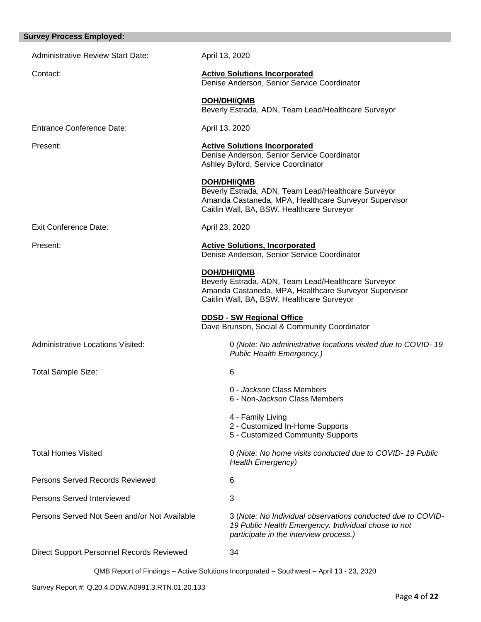| <b>Survey Process Employed:</b>              |                                                                                                                                                                           |
|----------------------------------------------|---------------------------------------------------------------------------------------------------------------------------------------------------------------------------|
| <b>Administrative Review Start Date:</b>     | April 13, 2020                                                                                                                                                            |
| Contact:                                     | <b>Active Solutions Incorporated</b><br>Denise Anderson, Senior Service Coordinator                                                                                       |
|                                              | <b>DOH/DHI/QMB</b><br>Beverly Estrada, ADN, Team Lead/Healthcare Surveyor                                                                                                 |
| <b>Entrance Conference Date:</b>             | April 13, 2020                                                                                                                                                            |
| Present:                                     | <b>Active Solutions Incorporated</b><br>Denise Anderson, Senior Service Coordinator<br>Ashley Byford, Service Coordinator                                                 |
|                                              | DOH/DHI/QMB<br>Beverly Estrada, ADN, Team Lead/Healthcare Surveyor<br>Amanda Castaneda, MPA, Healthcare Surveyor Supervisor<br>Caitlin Wall, BA, BSW, Healthcare Surveyor |
| <b>Exit Conference Date:</b>                 | April 23, 2020                                                                                                                                                            |
| Present:                                     | <b>Active Solutions, Incorporated</b><br>Denise Anderson, Senior Service Coordinator                                                                                      |
|                                              | DOH/DHI/QMB<br>Beverly Estrada, ADN, Team Lead/Healthcare Surveyor<br>Amanda Castaneda, MPA, Healthcare Surveyor Supervisor<br>Caitlin Wall, BA, BSW, Healthcare Surveyor |
|                                              | <b>DDSD - SW Regional Office</b><br>Dave Brunson, Social & Community Coordinator                                                                                          |
| <b>Administrative Locations Visited:</b>     | 0 (Note: No administrative locations visited due to COVID-19<br>Public Health Emergency.)                                                                                 |
| <b>Total Sample Size:</b>                    | 6                                                                                                                                                                         |
|                                              | 0 - Jackson Class Members<br>6 - Non-Jackson Class Members                                                                                                                |
|                                              | 4 - Family Living<br>2 - Customized In-Home Supports<br>5 - Customized Community Supports                                                                                 |
| <b>Total Homes Visited</b>                   | 0 (Note: No home visits conducted due to COVID-19 Public<br><b>Health Emergency)</b>                                                                                      |
| <b>Persons Served Records Reviewed</b>       | 6                                                                                                                                                                         |
| <b>Persons Served Interviewed</b>            | 3                                                                                                                                                                         |
| Persons Served Not Seen and/or Not Available | 3 (Note: No Individual observations conducted due to COVID-<br>19 Public Health Emergency. Individual chose to not<br>participate in the interview process.)              |
| Direct Support Personnel Records Reviewed    | 34                                                                                                                                                                        |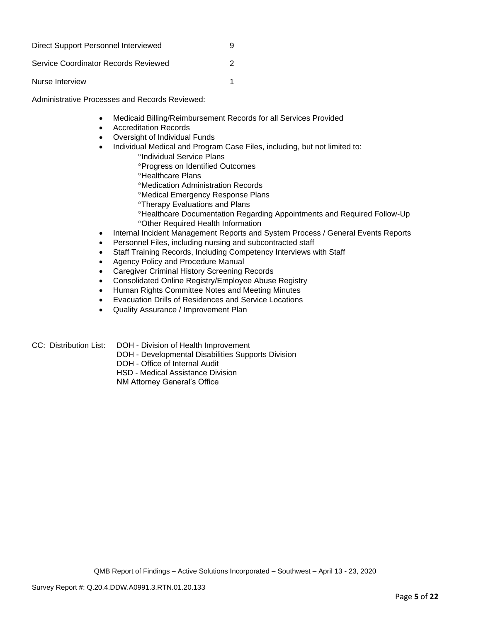| Direct Support Personnel Interviewed | g |
|--------------------------------------|---|
| Service Coordinator Records Reviewed | 2 |
| Nurse Interview                      |   |

Administrative Processes and Records Reviewed:

- Medicaid Billing/Reimbursement Records for all Services Provided
- Accreditation Records
- Oversight of Individual Funds
- Individual Medical and Program Case Files, including, but not limited to:
	- <sup>o</sup>Individual Service Plans
	- **Progress on Identified Outcomes**
	- <sup>o</sup>Healthcare Plans
	- Medication Administration Records
	- Medical Emergency Response Plans
	- Therapy Evaluations and Plans
	- Healthcare Documentation Regarding Appointments and Required Follow-Up Other Required Health Information
- Internal Incident Management Reports and System Process / General Events Reports
- Personnel Files, including nursing and subcontracted staff
- Staff Training Records, Including Competency Interviews with Staff
- Agency Policy and Procedure Manual
- Caregiver Criminal History Screening Records
- Consolidated Online Registry/Employee Abuse Registry
- Human Rights Committee Notes and Meeting Minutes
- Evacuation Drills of Residences and Service Locations
- Quality Assurance / Improvement Plan

CC: Distribution List: DOH - Division of Health Improvement

- DOH Developmental Disabilities Supports Division
	- DOH Office of Internal Audit
	- HSD Medical Assistance Division

NM Attorney General's Office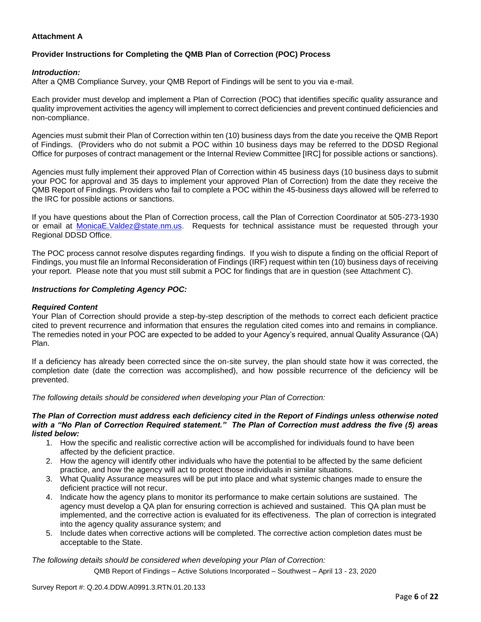# **Attachment A**

# **Provider Instructions for Completing the QMB Plan of Correction (POC) Process**

#### *Introduction:*

After a QMB Compliance Survey, your QMB Report of Findings will be sent to you via e-mail.

Each provider must develop and implement a Plan of Correction (POC) that identifies specific quality assurance and quality improvement activities the agency will implement to correct deficiencies and prevent continued deficiencies and non-compliance.

Agencies must submit their Plan of Correction within ten (10) business days from the date you receive the QMB Report of Findings. (Providers who do not submit a POC within 10 business days may be referred to the DDSD Regional Office for purposes of contract management or the Internal Review Committee [IRC] for possible actions or sanctions).

Agencies must fully implement their approved Plan of Correction within 45 business days (10 business days to submit your POC for approval and 35 days to implement your approved Plan of Correction) from the date they receive the QMB Report of Findings. Providers who fail to complete a POC within the 45-business days allowed will be referred to the IRC for possible actions or sanctions.

If you have questions about the Plan of Correction process, call the Plan of Correction Coordinator at 505-273-1930 or email at [MonicaE.Valdez@state.nm.us.](mailto:MonicaE.Valdez@state.nm.us) Requests for technical assistance must be requested through your Regional DDSD Office.

The POC process cannot resolve disputes regarding findings. If you wish to dispute a finding on the official Report of Findings, you must file an Informal Reconsideration of Findings (IRF) request within ten (10) business days of receiving your report. Please note that you must still submit a POC for findings that are in question (see Attachment C).

#### *Instructions for Completing Agency POC:*

#### *Required Content*

Your Plan of Correction should provide a step-by-step description of the methods to correct each deficient practice cited to prevent recurrence and information that ensures the regulation cited comes into and remains in compliance. The remedies noted in your POC are expected to be added to your Agency's required, annual Quality Assurance (QA) Plan.

If a deficiency has already been corrected since the on-site survey, the plan should state how it was corrected, the completion date (date the correction was accomplished), and how possible recurrence of the deficiency will be prevented.

*The following details should be considered when developing your Plan of Correction:*

#### *The Plan of Correction must address each deficiency cited in the Report of Findings unless otherwise noted with a "No Plan of Correction Required statement." The Plan of Correction must address the five (5) areas listed below:*

- 1. How the specific and realistic corrective action will be accomplished for individuals found to have been affected by the deficient practice.
- 2. How the agency will identify other individuals who have the potential to be affected by the same deficient practice, and how the agency will act to protect those individuals in similar situations.
- 3. What Quality Assurance measures will be put into place and what systemic changes made to ensure the deficient practice will not recur.
- 4. Indicate how the agency plans to monitor its performance to make certain solutions are sustained. The agency must develop a QA plan for ensuring correction is achieved and sustained. This QA plan must be implemented, and the corrective action is evaluated for its effectiveness. The plan of correction is integrated into the agency quality assurance system; and
- 5. Include dates when corrective actions will be completed. The corrective action completion dates must be acceptable to the State.

*The following details should be considered when developing your Plan of Correction:*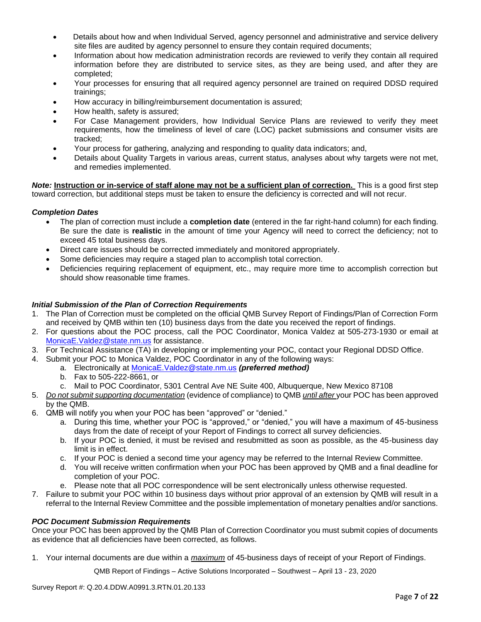- Details about how and when Individual Served, agency personnel and administrative and service delivery site files are audited by agency personnel to ensure they contain required documents;
- Information about how medication administration records are reviewed to verify they contain all required information before they are distributed to service sites, as they are being used, and after they are completed;
- Your processes for ensuring that all required agency personnel are trained on required DDSD required trainings;
- How accuracy in billing/reimbursement documentation is assured;
- How health, safety is assured;
- For Case Management providers, how Individual Service Plans are reviewed to verify they meet requirements, how the timeliness of level of care (LOC) packet submissions and consumer visits are tracked;
- Your process for gathering, analyzing and responding to quality data indicators; and,
- Details about Quality Targets in various areas, current status, analyses about why targets were not met, and remedies implemented.

*Note:* **Instruction or in-service of staff alone may not be a sufficient plan of correction.** This is a good first step toward correction, but additional steps must be taken to ensure the deficiency is corrected and will not recur.

## *Completion Dates*

- The plan of correction must include a **completion date** (entered in the far right-hand column) for each finding. Be sure the date is **realistic** in the amount of time your Agency will need to correct the deficiency; not to exceed 45 total business days.
- Direct care issues should be corrected immediately and monitored appropriately.
- Some deficiencies may require a staged plan to accomplish total correction.
- Deficiencies requiring replacement of equipment, etc., may require more time to accomplish correction but should show reasonable time frames.

## *Initial Submission of the Plan of Correction Requirements*

- 1. The Plan of Correction must be completed on the official QMB Survey Report of Findings/Plan of Correction Form and received by QMB within ten (10) business days from the date you received the report of findings.
- 2. For questions about the POC process, call the POC Coordinator, Monica Valdez at 505-273-1930 or email at [MonicaE.Valdez@state.nm.us](mailto:MonicaE.Valdez@state.nm.us) for assistance.
- 3. For Technical Assistance (TA) in developing or implementing your POC, contact your Regional DDSD Office.
- 4. Submit your POC to Monica Valdez, POC Coordinator in any of the following ways:
	- a. Electronically at [MonicaE.Valdez@state.nm.us](mailto:MonicaE.Valdez@state.nm.us) *(preferred method)*
	- b. Fax to 505-222-8661, or
	- c. Mail to POC Coordinator, 5301 Central Ave NE Suite 400, Albuquerque, New Mexico 87108
- 5. *Do not submit supporting documentation* (evidence of compliance) to QMB *until after* your POC has been approved by the QMB.
- 6. QMB will notify you when your POC has been "approved" or "denied."
	- a. During this time, whether your POC is "approved," or "denied," you will have a maximum of 45-business days from the date of receipt of your Report of Findings to correct all survey deficiencies.
	- b. If your POC is denied, it must be revised and resubmitted as soon as possible, as the 45-business day limit is in effect.
	- c. If your POC is denied a second time your agency may be referred to the Internal Review Committee.
	- d. You will receive written confirmation when your POC has been approved by QMB and a final deadline for completion of your POC.
	- e. Please note that all POC correspondence will be sent electronically unless otherwise requested.
- 7. Failure to submit your POC within 10 business days without prior approval of an extension by QMB will result in a referral to the Internal Review Committee and the possible implementation of monetary penalties and/or sanctions.

#### *POC Document Submission Requirements*

Once your POC has been approved by the QMB Plan of Correction Coordinator you must submit copies of documents as evidence that all deficiencies have been corrected, as follows.

1. Your internal documents are due within a *maximum* of 45-business days of receipt of your Report of Findings.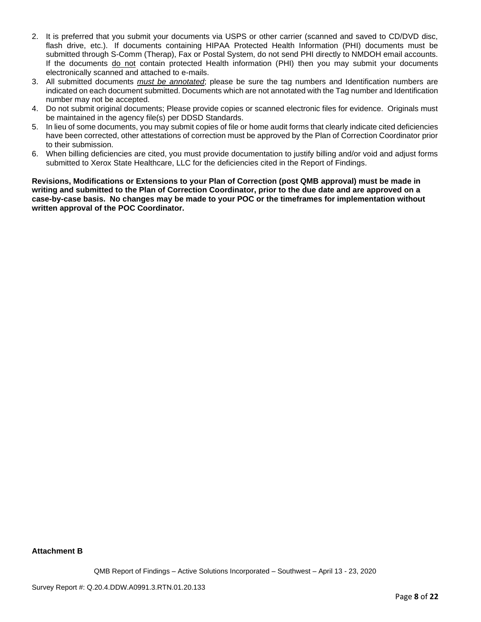- 2. It is preferred that you submit your documents via USPS or other carrier (scanned and saved to CD/DVD disc, flash drive, etc.). If documents containing HIPAA Protected Health Information (PHI) documents must be submitted through S-Comm (Therap), Fax or Postal System, do not send PHI directly to NMDOH email accounts. If the documents do not contain protected Health information (PHI) then you may submit your documents electronically scanned and attached to e-mails.
- 3. All submitted documents *must be annotated*; please be sure the tag numbers and Identification numbers are indicated on each document submitted. Documents which are not annotated with the Tag number and Identification number may not be accepted.
- 4. Do not submit original documents; Please provide copies or scanned electronic files for evidence. Originals must be maintained in the agency file(s) per DDSD Standards.
- 5. In lieu of some documents, you may submit copies of file or home audit forms that clearly indicate cited deficiencies have been corrected, other attestations of correction must be approved by the Plan of Correction Coordinator prior to their submission.
- 6. When billing deficiencies are cited, you must provide documentation to justify billing and/or void and adjust forms submitted to Xerox State Healthcare, LLC for the deficiencies cited in the Report of Findings.

**Revisions, Modifications or Extensions to your Plan of Correction (post QMB approval) must be made in writing and submitted to the Plan of Correction Coordinator, prior to the due date and are approved on a case-by-case basis. No changes may be made to your POC or the timeframes for implementation without written approval of the POC Coordinator.**

#### **Attachment B**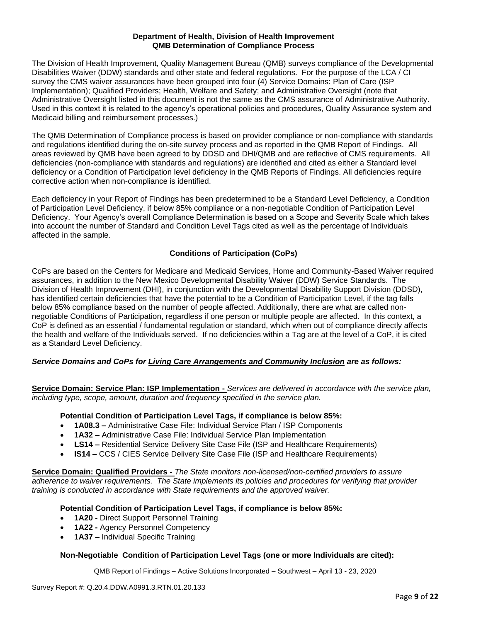## **Department of Health, Division of Health Improvement QMB Determination of Compliance Process**

The Division of Health Improvement, Quality Management Bureau (QMB) surveys compliance of the Developmental Disabilities Waiver (DDW) standards and other state and federal regulations. For the purpose of the LCA / CI survey the CMS waiver assurances have been grouped into four (4) Service Domains: Plan of Care (ISP Implementation); Qualified Providers; Health, Welfare and Safety; and Administrative Oversight (note that Administrative Oversight listed in this document is not the same as the CMS assurance of Administrative Authority. Used in this context it is related to the agency's operational policies and procedures, Quality Assurance system and Medicaid billing and reimbursement processes.)

The QMB Determination of Compliance process is based on provider compliance or non-compliance with standards and regulations identified during the on-site survey process and as reported in the QMB Report of Findings. All areas reviewed by QMB have been agreed to by DDSD and DHI/QMB and are reflective of CMS requirements. All deficiencies (non-compliance with standards and regulations) are identified and cited as either a Standard level deficiency or a Condition of Participation level deficiency in the QMB Reports of Findings. All deficiencies require corrective action when non-compliance is identified.

Each deficiency in your Report of Findings has been predetermined to be a Standard Level Deficiency, a Condition of Participation Level Deficiency, if below 85% compliance or a non-negotiable Condition of Participation Level Deficiency. Your Agency's overall Compliance Determination is based on a Scope and Severity Scale which takes into account the number of Standard and Condition Level Tags cited as well as the percentage of Individuals affected in the sample.

## **Conditions of Participation (CoPs)**

CoPs are based on the Centers for Medicare and Medicaid Services, Home and Community-Based Waiver required assurances, in addition to the New Mexico Developmental Disability Waiver (DDW) Service Standards. The Division of Health Improvement (DHI), in conjunction with the Developmental Disability Support Division (DDSD), has identified certain deficiencies that have the potential to be a Condition of Participation Level, if the tag falls below 85% compliance based on the number of people affected. Additionally, there are what are called nonnegotiable Conditions of Participation, regardless if one person or multiple people are affected. In this context, a CoP is defined as an essential / fundamental regulation or standard, which when out of compliance directly affects the health and welfare of the Individuals served. If no deficiencies within a Tag are at the level of a CoP, it is cited as a Standard Level Deficiency.

#### *Service Domains and CoPs for Living Care Arrangements and Community Inclusion are as follows:*

**Service Domain: Service Plan: ISP Implementation -** *Services are delivered in accordance with the service plan, including type, scope, amount, duration and frequency specified in the service plan.*

#### **Potential Condition of Participation Level Tags, if compliance is below 85%:**

- **1A08.3 –** Administrative Case File: Individual Service Plan / ISP Components
- **1A32 –** Administrative Case File: Individual Service Plan Implementation
- **LS14 –** Residential Service Delivery Site Case File (ISP and Healthcare Requirements)
- **IS14 –** CCS / CIES Service Delivery Site Case File (ISP and Healthcare Requirements)

**Service Domain: Qualified Providers -** *The State monitors non-licensed/non-certified providers to assure adherence to waiver requirements. The State implements its policies and procedures for verifying that provider training is conducted in accordance with State requirements and the approved waiver.*

#### **Potential Condition of Participation Level Tags, if compliance is below 85%:**

- **1A20 -** Direct Support Personnel Training
- **1A22 -** Agency Personnel Competency
- **1A37 –** Individual Specific Training

#### **Non-Negotiable Condition of Participation Level Tags (one or more Individuals are cited):**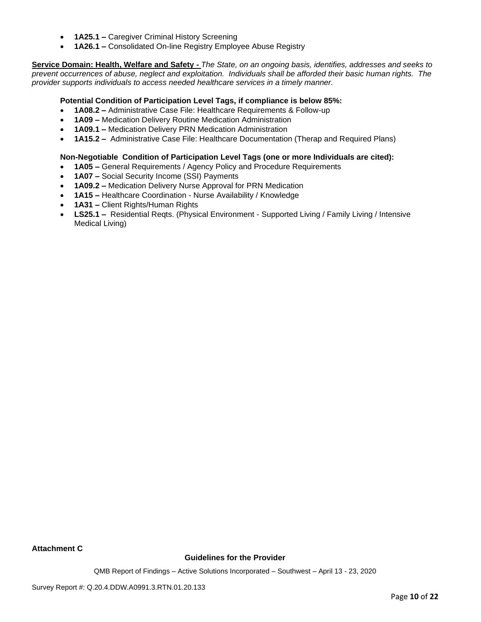- **1A25.1 –** Caregiver Criminal History Screening
- **1A26.1 –** Consolidated On-line Registry Employee Abuse Registry

**Service Domain: Health, Welfare and Safety -** *The State, on an ongoing basis, identifies, addresses and seeks to prevent occurrences of abuse, neglect and exploitation. Individuals shall be afforded their basic human rights. The provider supports individuals to access needed healthcare services in a timely manner.*

#### **Potential Condition of Participation Level Tags, if compliance is below 85%:**

- **1A08.2 –** Administrative Case File: Healthcare Requirements & Follow-up
- **1A09 –** Medication Delivery Routine Medication Administration
- **1A09.1 –** Medication Delivery PRN Medication Administration
- **1A15.2 –** Administrative Case File: Healthcare Documentation (Therap and Required Plans)

#### **Non-Negotiable Condition of Participation Level Tags (one or more Individuals are cited):**

- **1A05 –** General Requirements / Agency Policy and Procedure Requirements
- **1A07 –** Social Security Income (SSI) Payments
- **1A09.2 –** Medication Delivery Nurse Approval for PRN Medication
- **1A15 –** Healthcare Coordination Nurse Availability / Knowledge
- **1A31 –** Client Rights/Human Rights
- **LS25.1 –** Residential Reqts. (Physical Environment Supported Living / Family Living / Intensive Medical Living)

**Attachment C**

#### **Guidelines for the Provider**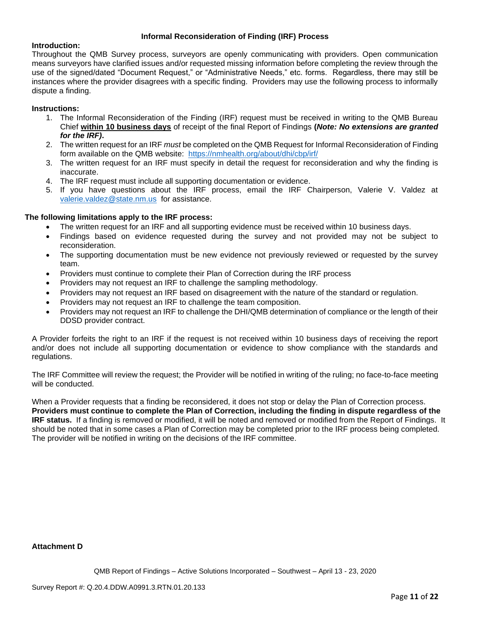#### **Informal Reconsideration of Finding (IRF) Process**

#### **Introduction:**

Throughout the QMB Survey process, surveyors are openly communicating with providers. Open communication means surveyors have clarified issues and/or requested missing information before completing the review through the use of the signed/dated "Document Request," or "Administrative Needs," etc. forms. Regardless, there may still be instances where the provider disagrees with a specific finding. Providers may use the following process to informally dispute a finding.

# **Instructions:**

- 1. The Informal Reconsideration of the Finding (IRF) request must be received in writing to the QMB Bureau Chief **within 10 business days** of receipt of the final Report of Findings **(***Note: No extensions are granted for the IRF)***.**
- 2. The written request for an IRF *must* be completed on the QMB Request for Informal Reconsideration of Finding form available on the QMB website: <https://nmhealth.org/about/dhi/cbp/irf/>
- 3. The written request for an IRF must specify in detail the request for reconsideration and why the finding is inaccurate.
- 4. The IRF request must include all supporting documentation or evidence.
- 5. If you have questions about the IRF process, email the IRF Chairperson, Valerie V. Valdez at [valerie.valdez@state.nm.us](mailto:valerie.valdez@state.nm.us) for assistance.

## **The following limitations apply to the IRF process:**

- The written request for an IRF and all supporting evidence must be received within 10 business days.
- Findings based on evidence requested during the survey and not provided may not be subject to reconsideration.
- The supporting documentation must be new evidence not previously reviewed or requested by the survey team.
- Providers must continue to complete their Plan of Correction during the IRF process
- Providers may not request an IRF to challenge the sampling methodology.
- Providers may not request an IRF based on disagreement with the nature of the standard or regulation.
- Providers may not request an IRF to challenge the team composition.
- Providers may not request an IRF to challenge the DHI/QMB determination of compliance or the length of their DDSD provider contract.

A Provider forfeits the right to an IRF if the request is not received within 10 business days of receiving the report and/or does not include all supporting documentation or evidence to show compliance with the standards and regulations.

The IRF Committee will review the request; the Provider will be notified in writing of the ruling; no face-to-face meeting will be conducted.

When a Provider requests that a finding be reconsidered, it does not stop or delay the Plan of Correction process. **Providers must continue to complete the Plan of Correction, including the finding in dispute regardless of the IRF status.** If a finding is removed or modified, it will be noted and removed or modified from the Report of Findings. It should be noted that in some cases a Plan of Correction may be completed prior to the IRF process being completed. The provider will be notified in writing on the decisions of the IRF committee.

#### **Attachment D**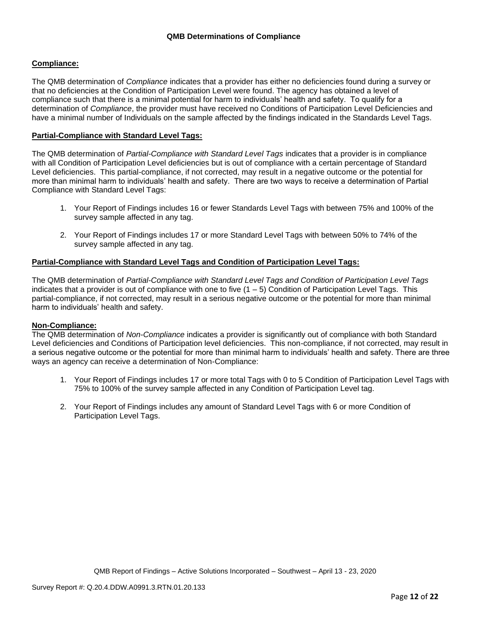#### **Compliance:**

The QMB determination of *Compliance* indicates that a provider has either no deficiencies found during a survey or that no deficiencies at the Condition of Participation Level were found. The agency has obtained a level of compliance such that there is a minimal potential for harm to individuals' health and safety. To qualify for a determination of *Compliance*, the provider must have received no Conditions of Participation Level Deficiencies and have a minimal number of Individuals on the sample affected by the findings indicated in the Standards Level Tags.

#### **Partial-Compliance with Standard Level Tags:**

The QMB determination of *Partial-Compliance with Standard Level Tags* indicates that a provider is in compliance with all Condition of Participation Level deficiencies but is out of compliance with a certain percentage of Standard Level deficiencies. This partial-compliance, if not corrected, may result in a negative outcome or the potential for more than minimal harm to individuals' health and safety. There are two ways to receive a determination of Partial Compliance with Standard Level Tags:

- 1. Your Report of Findings includes 16 or fewer Standards Level Tags with between 75% and 100% of the survey sample affected in any tag.
- 2. Your Report of Findings includes 17 or more Standard Level Tags with between 50% to 74% of the survey sample affected in any tag.

#### **Partial-Compliance with Standard Level Tags and Condition of Participation Level Tags:**

The QMB determination of *Partial-Compliance with Standard Level Tags and Condition of Participation Level Tags*  indicates that a provider is out of compliance with one to five  $(1 - 5)$  Condition of Participation Level Tags. This partial-compliance, if not corrected, may result in a serious negative outcome or the potential for more than minimal harm to individuals' health and safety.

#### **Non-Compliance:**

The QMB determination of *Non-Compliance* indicates a provider is significantly out of compliance with both Standard Level deficiencies and Conditions of Participation level deficiencies. This non-compliance, if not corrected, may result in a serious negative outcome or the potential for more than minimal harm to individuals' health and safety. There are three ways an agency can receive a determination of Non-Compliance:

- 1. Your Report of Findings includes 17 or more total Tags with 0 to 5 Condition of Participation Level Tags with 75% to 100% of the survey sample affected in any Condition of Participation Level tag.
- 2. Your Report of Findings includes any amount of Standard Level Tags with 6 or more Condition of Participation Level Tags.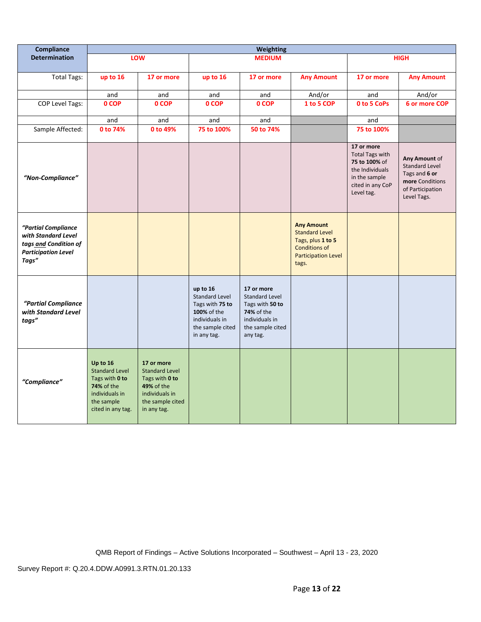| Compliance                                                                                                 |                                                                                                                               |                                                                                                                                 |                                                                                                                          | <b>Weighting</b>                                                                                                              |                                                                                                                                |                                                                                                                             |                                                                                                               |
|------------------------------------------------------------------------------------------------------------|-------------------------------------------------------------------------------------------------------------------------------|---------------------------------------------------------------------------------------------------------------------------------|--------------------------------------------------------------------------------------------------------------------------|-------------------------------------------------------------------------------------------------------------------------------|--------------------------------------------------------------------------------------------------------------------------------|-----------------------------------------------------------------------------------------------------------------------------|---------------------------------------------------------------------------------------------------------------|
| <b>Determination</b>                                                                                       |                                                                                                                               | LOW                                                                                                                             |                                                                                                                          | <b>MEDIUM</b>                                                                                                                 |                                                                                                                                |                                                                                                                             | <b>HIGH</b>                                                                                                   |
| <b>Total Tags:</b>                                                                                         | up to 16                                                                                                                      | 17 or more                                                                                                                      | up to 16                                                                                                                 | 17 or more                                                                                                                    | <b>Any Amount</b>                                                                                                              | 17 or more                                                                                                                  | <b>Any Amount</b>                                                                                             |
|                                                                                                            | and                                                                                                                           | and                                                                                                                             | and                                                                                                                      | and                                                                                                                           | And/or                                                                                                                         | and                                                                                                                         | And/or                                                                                                        |
| COP Level Tags:                                                                                            | 0 COP                                                                                                                         | 0 COP                                                                                                                           | 0 COP                                                                                                                    | 0 COP                                                                                                                         | 1 to 5 COP                                                                                                                     | 0 to 5 CoPs                                                                                                                 | 6 or more COP                                                                                                 |
|                                                                                                            | and                                                                                                                           | and                                                                                                                             | and                                                                                                                      | and                                                                                                                           |                                                                                                                                | and                                                                                                                         |                                                                                                               |
| Sample Affected:                                                                                           | 0 to 74%                                                                                                                      | 0 to 49%                                                                                                                        | 75 to 100%                                                                                                               | 50 to 74%                                                                                                                     |                                                                                                                                | 75 to 100%                                                                                                                  |                                                                                                               |
| "Non-Compliance"                                                                                           |                                                                                                                               |                                                                                                                                 |                                                                                                                          |                                                                                                                               |                                                                                                                                | 17 or more<br><b>Total Tags with</b><br>75 to 100% of<br>the Individuals<br>in the sample<br>cited in any CoP<br>Level tag. | Any Amount of<br><b>Standard Level</b><br>Tags and 6 or<br>more Conditions<br>of Participation<br>Level Tags. |
| "Partial Compliance<br>with Standard Level<br>tags and Condition of<br><b>Participation Level</b><br>Tags" |                                                                                                                               |                                                                                                                                 |                                                                                                                          |                                                                                                                               | <b>Any Amount</b><br><b>Standard Level</b><br>Tags, plus 1 to 5<br><b>Conditions of</b><br><b>Participation Level</b><br>tags. |                                                                                                                             |                                                                                                               |
| "Partial Compliance<br>with Standard Level<br>tags"                                                        |                                                                                                                               |                                                                                                                                 | up to 16<br><b>Standard Level</b><br>Tags with 75 to<br>100% of the<br>individuals in<br>the sample cited<br>in any tag. | 17 or more<br><b>Standard Level</b><br>Tags with 50 to<br><b>74%</b> of the<br>individuals in<br>the sample cited<br>any tag. |                                                                                                                                |                                                                                                                             |                                                                                                               |
| "Compliance"                                                                                               | Up to 16<br><b>Standard Level</b><br>Tags with 0 to<br><b>74% of the</b><br>individuals in<br>the sample<br>cited in any tag. | 17 or more<br><b>Standard Level</b><br>Tags with 0 to<br><b>49% of the</b><br>individuals in<br>the sample cited<br>in any tag. |                                                                                                                          |                                                                                                                               |                                                                                                                                |                                                                                                                             |                                                                                                               |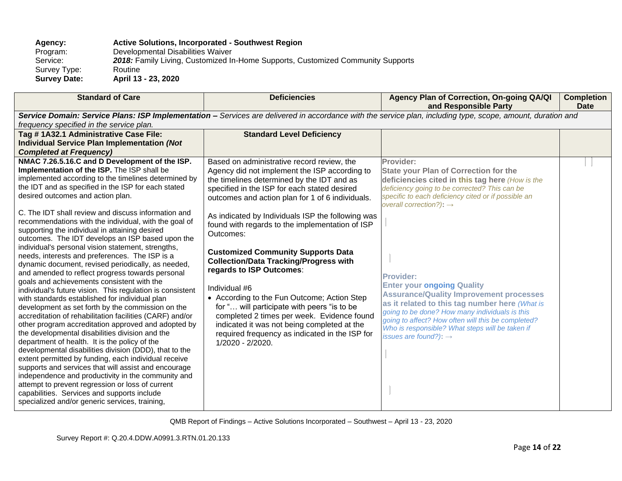# **Agency: Active Solutions, Incorporated - Southwest Region**

Program: Developmental Disabilities Waiver<br>Service: 2018: Family Living, Customized In 2018: Family Living, Customized In-Home Supports, Customized Community Supports<br>Routine Survey Type:<br>Survey Date: **Survey Date: April 13 - 23, 2020**

| <b>Standard of Care</b>                                                                                                                                                                                                                                                                                                                                                                                                                                                                                                                                                                                                                                                                                                                                                                                                                                                                                                                                                                                                                      | <b>Deficiencies</b>                                                                                                                                                                                                                                                                                                                                                                                      | Agency Plan of Correction, On-going QA/QI<br>and Responsible Party                                                                                                                                                                                                                                                                                        | <b>Completion</b><br><b>Date</b> |
|----------------------------------------------------------------------------------------------------------------------------------------------------------------------------------------------------------------------------------------------------------------------------------------------------------------------------------------------------------------------------------------------------------------------------------------------------------------------------------------------------------------------------------------------------------------------------------------------------------------------------------------------------------------------------------------------------------------------------------------------------------------------------------------------------------------------------------------------------------------------------------------------------------------------------------------------------------------------------------------------------------------------------------------------|----------------------------------------------------------------------------------------------------------------------------------------------------------------------------------------------------------------------------------------------------------------------------------------------------------------------------------------------------------------------------------------------------------|-----------------------------------------------------------------------------------------------------------------------------------------------------------------------------------------------------------------------------------------------------------------------------------------------------------------------------------------------------------|----------------------------------|
| Service Domain: Service Plans: ISP Implementation - Services are delivered in accordance with the service plan, including type, scope, amount, duration and<br>frequency specified in the service plan.                                                                                                                                                                                                                                                                                                                                                                                                                                                                                                                                                                                                                                                                                                                                                                                                                                      |                                                                                                                                                                                                                                                                                                                                                                                                          |                                                                                                                                                                                                                                                                                                                                                           |                                  |
| Tag #1A32.1 Administrative Case File:<br><b>Individual Service Plan Implementation (Not</b><br><b>Completed at Frequency)</b>                                                                                                                                                                                                                                                                                                                                                                                                                                                                                                                                                                                                                                                                                                                                                                                                                                                                                                                | <b>Standard Level Deficiency</b>                                                                                                                                                                                                                                                                                                                                                                         |                                                                                                                                                                                                                                                                                                                                                           |                                  |
| NMAC 7.26.5.16.C and D Development of the ISP.<br>Implementation of the ISP. The ISP shall be<br>implemented according to the timelines determined by<br>the IDT and as specified in the ISP for each stated<br>desired outcomes and action plan.<br>C. The IDT shall review and discuss information and<br>recommendations with the individual, with the goal of<br>supporting the individual in attaining desired<br>outcomes. The IDT develops an ISP based upon the                                                                                                                                                                                                                                                                                                                                                                                                                                                                                                                                                                      | Based on administrative record review, the<br>Agency did not implement the ISP according to<br>the timelines determined by the IDT and as<br>specified in the ISP for each stated desired<br>outcomes and action plan for 1 of 6 individuals.<br>As indicated by Individuals ISP the following was<br>found with regards to the implementation of ISP<br>Outcomes:                                       | Provider:<br><b>State your Plan of Correction for the</b><br>deficiencies cited in this tag here (How is the<br>deficiency going to be corrected? This can be<br>specific to each deficiency cited or if possible an<br>overall correction?): $\rightarrow$                                                                                               |                                  |
| individual's personal vision statement, strengths,<br>needs, interests and preferences. The ISP is a<br>dynamic document, revised periodically, as needed,<br>and amended to reflect progress towards personal<br>goals and achievements consistent with the<br>individual's future vision. This regulation is consistent<br>with standards established for individual plan<br>development as set forth by the commission on the<br>accreditation of rehabilitation facilities (CARF) and/or<br>other program accreditation approved and adopted by<br>the developmental disabilities division and the<br>department of health. It is the policy of the<br>developmental disabilities division (DDD), that to the<br>extent permitted by funding, each individual receive<br>supports and services that will assist and encourage<br>independence and productivity in the community and<br>attempt to prevent regression or loss of current<br>capabilities. Services and supports include<br>specialized and/or generic services, training, | <b>Customized Community Supports Data</b><br><b>Collection/Data Tracking/Progress with</b><br>regards to ISP Outcomes:<br>Individual #6<br>• According to the Fun Outcome; Action Step<br>for " will participate with peers "is to be<br>completed 2 times per week. Evidence found<br>indicated it was not being completed at the<br>required frequency as indicated in the ISP for<br>1/2020 - 2/2020. | <b>Provider:</b><br><b>Enter your ongoing Quality</b><br><b>Assurance/Quality Improvement processes</b><br>as it related to this tag number here (What is<br>going to be done? How many individuals is this<br>going to affect? How often will this be completed?<br>Who is responsible? What steps will be taken if<br>issues are found?): $\rightarrow$ |                                  |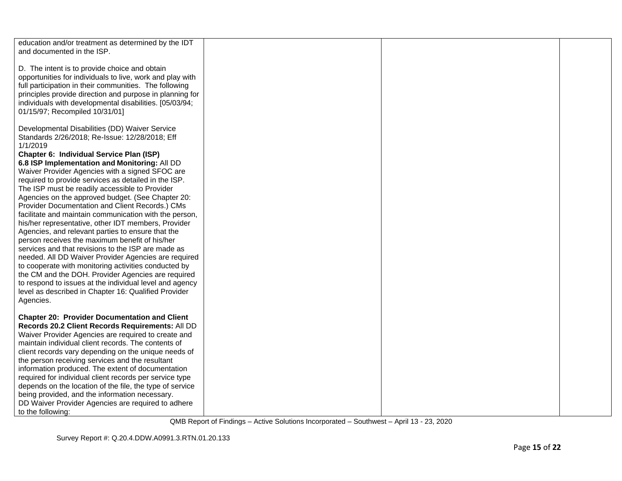| education and/or treatment as determined by the IDT<br>and documented in the ISP.                                                                                                                                                                                                                                                                                                                                                                                                                                                                                                                                                                                                                                                                                                                                                                                                                                                                  |  |  |
|----------------------------------------------------------------------------------------------------------------------------------------------------------------------------------------------------------------------------------------------------------------------------------------------------------------------------------------------------------------------------------------------------------------------------------------------------------------------------------------------------------------------------------------------------------------------------------------------------------------------------------------------------------------------------------------------------------------------------------------------------------------------------------------------------------------------------------------------------------------------------------------------------------------------------------------------------|--|--|
| D. The intent is to provide choice and obtain<br>opportunities for individuals to live, work and play with<br>full participation in their communities. The following<br>principles provide direction and purpose in planning for<br>individuals with developmental disabilities. [05/03/94;<br>01/15/97; Recompiled 10/31/01]                                                                                                                                                                                                                                                                                                                                                                                                                                                                                                                                                                                                                      |  |  |
| Developmental Disabilities (DD) Waiver Service<br>Standards 2/26/2018; Re-Issue: 12/28/2018; Eff<br>1/1/2019                                                                                                                                                                                                                                                                                                                                                                                                                                                                                                                                                                                                                                                                                                                                                                                                                                       |  |  |
| Chapter 6: Individual Service Plan (ISP)<br>6.8 ISP Implementation and Monitoring: All DD<br>Waiver Provider Agencies with a signed SFOC are<br>required to provide services as detailed in the ISP.<br>The ISP must be readily accessible to Provider<br>Agencies on the approved budget. (See Chapter 20:<br>Provider Documentation and Client Records.) CMs<br>facilitate and maintain communication with the person,<br>his/her representative, other IDT members, Provider<br>Agencies, and relevant parties to ensure that the<br>person receives the maximum benefit of his/her<br>services and that revisions to the ISP are made as<br>needed. All DD Waiver Provider Agencies are required<br>to cooperate with monitoring activities conducted by<br>the CM and the DOH. Provider Agencies are required<br>to respond to issues at the individual level and agency<br>level as described in Chapter 16: Qualified Provider<br>Agencies. |  |  |
| <b>Chapter 20: Provider Documentation and Client</b><br>Records 20.2 Client Records Requirements: All DD<br>Waiver Provider Agencies are required to create and<br>maintain individual client records. The contents of<br>client records vary depending on the unique needs of<br>the person receiving services and the resultant<br>information produced. The extent of documentation                                                                                                                                                                                                                                                                                                                                                                                                                                                                                                                                                             |  |  |
| required for individual client records per service type<br>depends on the location of the file, the type of service<br>being provided, and the information necessary.<br>DD Waiver Provider Agencies are required to adhere<br>to the following:                                                                                                                                                                                                                                                                                                                                                                                                                                                                                                                                                                                                                                                                                                   |  |  |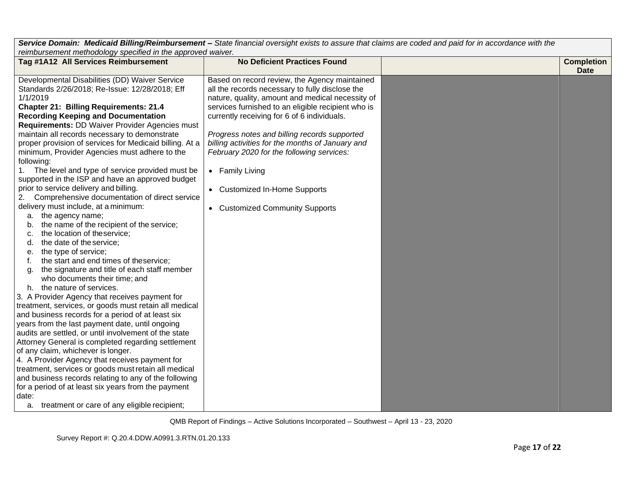| $\sim$ . The construct of the computation of the construction of $\sim$ and $\sim$ and $\sim$ and $\sim$ and $\sim$ and $\sim$ and $\sim$ and $\sim$<br>reimbursement methodology specified in the approved waiver.                                                                                                                                                                                                                                                                                                                                                                                                                                                                                                                                                                                                                                                                                                                                                                                                                                                                                                                                                                                                                                                                                                                                                                                                                                                                                                                                                                                                                                                                                    |                                                                                                                                                                                                                                                                                                                                                                                                                                                                                                   |  |                                  |
|--------------------------------------------------------------------------------------------------------------------------------------------------------------------------------------------------------------------------------------------------------------------------------------------------------------------------------------------------------------------------------------------------------------------------------------------------------------------------------------------------------------------------------------------------------------------------------------------------------------------------------------------------------------------------------------------------------------------------------------------------------------------------------------------------------------------------------------------------------------------------------------------------------------------------------------------------------------------------------------------------------------------------------------------------------------------------------------------------------------------------------------------------------------------------------------------------------------------------------------------------------------------------------------------------------------------------------------------------------------------------------------------------------------------------------------------------------------------------------------------------------------------------------------------------------------------------------------------------------------------------------------------------------------------------------------------------------|---------------------------------------------------------------------------------------------------------------------------------------------------------------------------------------------------------------------------------------------------------------------------------------------------------------------------------------------------------------------------------------------------------------------------------------------------------------------------------------------------|--|----------------------------------|
| Tag #1A12 All Services Reimbursement                                                                                                                                                                                                                                                                                                                                                                                                                                                                                                                                                                                                                                                                                                                                                                                                                                                                                                                                                                                                                                                                                                                                                                                                                                                                                                                                                                                                                                                                                                                                                                                                                                                                   | <b>No Deficient Practices Found</b>                                                                                                                                                                                                                                                                                                                                                                                                                                                               |  | <b>Completion</b><br><b>Date</b> |
| Developmental Disabilities (DD) Waiver Service<br>Standards 2/26/2018; Re-Issue: 12/28/2018; Eff<br>1/1/2019<br><b>Chapter 21: Billing Requirements: 21.4</b><br><b>Recording Keeping and Documentation</b><br>Requirements: DD Waiver Provider Agencies must<br>maintain all records necessary to demonstrate<br>proper provision of services for Medicaid billing. At a<br>minimum, Provider Agencies must adhere to the<br>following:<br>1. The level and type of service provided must be<br>supported in the ISP and have an approved budget<br>prior to service delivery and billing.<br>Comprehensive documentation of direct service<br>2.<br>delivery must include, at a minimum:<br>a. the agency name;<br>the name of the recipient of the service;<br>b.<br>the location of theservice;<br>c.<br>the date of the service;<br>d.<br>the type of service;<br>е.<br>the start and end times of theservice;<br>the signature and title of each staff member<br>g.<br>who documents their time; and<br>h. the nature of services.<br>3. A Provider Agency that receives payment for<br>treatment, services, or goods must retain all medical<br>and business records for a period of at least six<br>years from the last payment date, until ongoing<br>audits are settled, or until involvement of the state<br>Attorney General is completed regarding settlement<br>of any claim, whichever is longer.<br>4. A Provider Agency that receives payment for<br>treatment, services or goods must retain all medical<br>and business records relating to any of the following<br>for a period of at least six years from the payment<br>date:<br>a. treatment or care of any eligible recipient; | Based on record review, the Agency maintained<br>all the records necessary to fully disclose the<br>nature, quality, amount and medical necessity of<br>services furnished to an eligible recipient who is<br>currently receiving for 6 of 6 individuals.<br>Progress notes and billing records supported<br>billing activities for the months of January and<br>February 2020 for the following services:<br>• Family Living<br>• Customized In-Home Supports<br>• Customized Community Supports |  |                                  |
|                                                                                                                                                                                                                                                                                                                                                                                                                                                                                                                                                                                                                                                                                                                                                                                                                                                                                                                                                                                                                                                                                                                                                                                                                                                                                                                                                                                                                                                                                                                                                                                                                                                                                                        |                                                                                                                                                                                                                                                                                                                                                                                                                                                                                                   |  |                                  |

*Service Domain: Medicaid Billing/Reimbursement – State financial oversight exists to assure that claims are coded and paid for in accordance with the*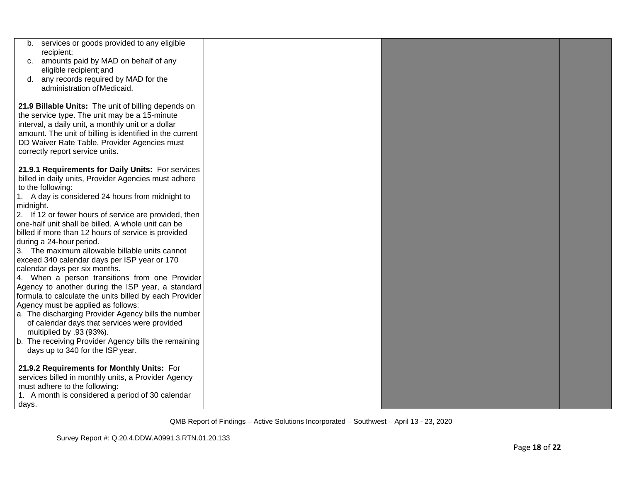| b. services or goods provided to any eligible<br>recipient;                                                 |  |  |
|-------------------------------------------------------------------------------------------------------------|--|--|
| amounts paid by MAD on behalf of any<br>C.                                                                  |  |  |
| eligible recipient; and                                                                                     |  |  |
| d. any records required by MAD for the                                                                      |  |  |
| administration of Medicaid.                                                                                 |  |  |
| 21.9 Billable Units: The unit of billing depends on                                                         |  |  |
| the service type. The unit may be a 15-minute                                                               |  |  |
| interval, a daily unit, a monthly unit or a dollar                                                          |  |  |
| amount. The unit of billing is identified in the current                                                    |  |  |
| DD Waiver Rate Table. Provider Agencies must                                                                |  |  |
| correctly report service units.                                                                             |  |  |
| 21.9.1 Requirements for Daily Units: For services                                                           |  |  |
| billed in daily units, Provider Agencies must adhere                                                        |  |  |
| to the following:                                                                                           |  |  |
| 1. A day is considered 24 hours from midnight to                                                            |  |  |
| midnight.                                                                                                   |  |  |
| 2. If 12 or fewer hours of service are provided, then<br>one-half unit shall be billed. A whole unit can be |  |  |
| billed if more than 12 hours of service is provided                                                         |  |  |
| during a 24-hour period.                                                                                    |  |  |
| 3. The maximum allowable billable units cannot                                                              |  |  |
| exceed 340 calendar days per ISP year or 170                                                                |  |  |
| calendar days per six months.                                                                               |  |  |
| 4. When a person transitions from one Provider                                                              |  |  |
| Agency to another during the ISP year, a standard<br>formula to calculate the units billed by each Provider |  |  |
| Agency must be applied as follows:                                                                          |  |  |
| a. The discharging Provider Agency bills the number                                                         |  |  |
| of calendar days that services were provided                                                                |  |  |
| multiplied by .93 (93%).                                                                                    |  |  |
| b. The receiving Provider Agency bills the remaining                                                        |  |  |
| days up to 340 for the ISP year.                                                                            |  |  |
| 21.9.2 Requirements for Monthly Units: For                                                                  |  |  |
| services billed in monthly units, a Provider Agency                                                         |  |  |
| must adhere to the following:                                                                               |  |  |
| 1. A month is considered a period of 30 calendar                                                            |  |  |
| days.                                                                                                       |  |  |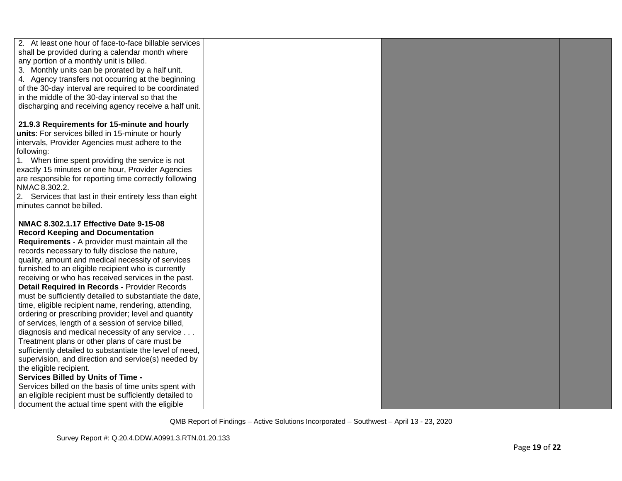| 2. At least one hour of face-to-face billable services   |  |  |
|----------------------------------------------------------|--|--|
| shall be provided during a calendar month where          |  |  |
| any portion of a monthly unit is billed.                 |  |  |
| 3. Monthly units can be prorated by a half unit.         |  |  |
| 4. Agency transfers not occurring at the beginning       |  |  |
| of the 30-day interval are required to be coordinated    |  |  |
| in the middle of the 30-day interval so that the         |  |  |
| discharging and receiving agency receive a half unit.    |  |  |
|                                                          |  |  |
| 21.9.3 Requirements for 15-minute and hourly             |  |  |
| units: For services billed in 15-minute or hourly        |  |  |
| intervals, Provider Agencies must adhere to the          |  |  |
| following:                                               |  |  |
| 1. When time spent providing the service is not          |  |  |
| exactly 15 minutes or one hour, Provider Agencies        |  |  |
| are responsible for reporting time correctly following   |  |  |
| NMAC 8.302.2.                                            |  |  |
| 2. Services that last in their entirety less than eight  |  |  |
| minutes cannot be billed.                                |  |  |
|                                                          |  |  |
| NMAC 8.302.1.17 Effective Date 9-15-08                   |  |  |
| <b>Record Keeping and Documentation</b>                  |  |  |
| Requirements - A provider must maintain all the          |  |  |
| records necessary to fully disclose the nature,          |  |  |
| quality, amount and medical necessity of services        |  |  |
| furnished to an eligible recipient who is currently      |  |  |
| receiving or who has received services in the past.      |  |  |
| Detail Required in Records - Provider Records            |  |  |
| must be sufficiently detailed to substantiate the date,  |  |  |
| time, eligible recipient name, rendering, attending,     |  |  |
| ordering or prescribing provider; level and quantity     |  |  |
| of services, length of a session of service billed,      |  |  |
| diagnosis and medical necessity of any service           |  |  |
| Treatment plans or other plans of care must be           |  |  |
| sufficiently detailed to substantiate the level of need, |  |  |
| supervision, and direction and service(s) needed by      |  |  |
| the eligible recipient.                                  |  |  |
| Services Billed by Units of Time -                       |  |  |
| Services billed on the basis of time units spent with    |  |  |
| an eligible recipient must be sufficiently detailed to   |  |  |
| document the actual time spent with the eligible         |  |  |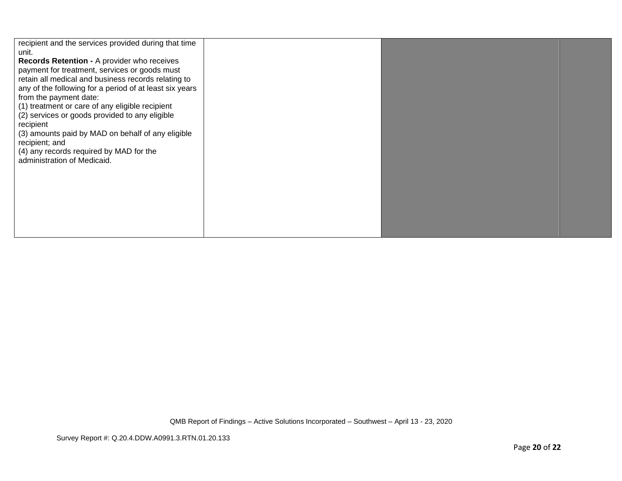| recipient and the services provided during that time<br>unit.<br>Records Retention - A provider who receives<br>payment for treatment, services or goods must<br>retain all medical and business records relating to<br>any of the following for a period of at least six years<br>from the payment date:<br>(1) treatment or care of any eligible recipient<br>(2) services or goods provided to any eligible<br>recipient<br>(3) amounts paid by MAD on behalf of any eligible<br>recipient; and<br>(4) any records required by MAD for the<br>administration of Medicaid. |
|------------------------------------------------------------------------------------------------------------------------------------------------------------------------------------------------------------------------------------------------------------------------------------------------------------------------------------------------------------------------------------------------------------------------------------------------------------------------------------------------------------------------------------------------------------------------------|
|------------------------------------------------------------------------------------------------------------------------------------------------------------------------------------------------------------------------------------------------------------------------------------------------------------------------------------------------------------------------------------------------------------------------------------------------------------------------------------------------------------------------------------------------------------------------------|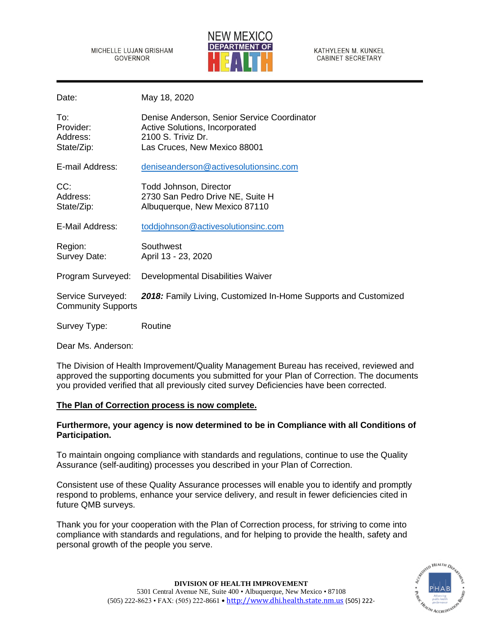MICHELLE LUJAN GRISHAM **GOVERNOR** 



KATHYLEEN M. KUNKEL **CABINET SECRETARY** 

Date: May 18, 2020

| To:<br>Provider:<br>Address:<br>State/Zip:     | Denise Anderson, Senior Service Coordinator<br><b>Active Solutions, Incorporated</b><br>2100 S. Triviz Dr.<br>Las Cruces, New Mexico 88001 |
|------------------------------------------------|--------------------------------------------------------------------------------------------------------------------------------------------|
| E-mail Address:                                | deniseanderson@activesolutionsinc.com                                                                                                      |
| CC:<br>Address:<br>State/Zip:                  | Todd Johnson, Director<br>2730 San Pedro Drive NE, Suite H<br>Albuquerque, New Mexico 87110                                                |
| E-Mail Address:                                | toddjohnson@activesolutionsinc.com                                                                                                         |
| Region:<br>Survey Date:                        | Southwest<br>April 13 - 23, 2020                                                                                                           |
| Program Surveyed:                              | Developmental Disabilities Waiver                                                                                                          |
| Service Surveyed:<br><b>Community Supports</b> | 2018: Family Living, Customized In-Home Supports and Customized                                                                            |
| Survey Type:                                   | Routine                                                                                                                                    |

Dear Ms. Anderson:

The Division of Health Improvement/Quality Management Bureau has received, reviewed and approved the supporting documents you submitted for your Plan of Correction. The documents you provided verified that all previously cited survey Deficiencies have been corrected.

# **The Plan of Correction process is now complete.**

# **Furthermore, your agency is now determined to be in Compliance with all Conditions of Participation.**

To maintain ongoing compliance with standards and regulations, continue to use the Quality Assurance (self-auditing) processes you described in your Plan of Correction.

Consistent use of these Quality Assurance processes will enable you to identify and promptly respond to problems, enhance your service delivery, and result in fewer deficiencies cited in future QMB surveys.

Thank you for your cooperation with the Plan of Correction process, for striving to come into compliance with standards and regulations, and for helping to provide the health, safety and personal growth of the people you serve.